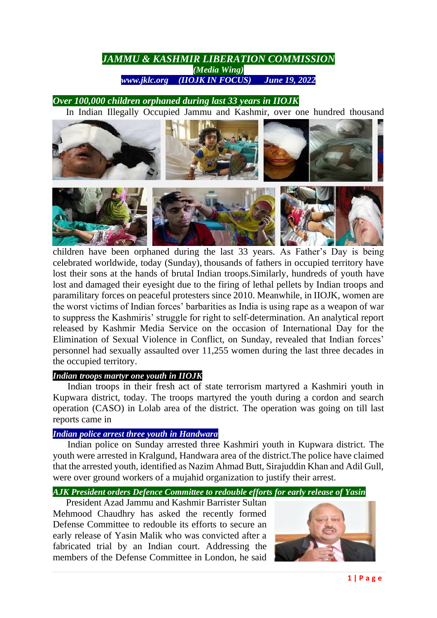# *JAMMU & KASHMIR LIBERATION COMMISSION (Media Wing) www.jklc.org (IIOJK IN FOCUS) June 19, 2022*

## *Over 100,000 children orphaned during last 33 years in IIOJK*

In Indian Illegally Occupied Jammu and Kashmir, over one hundred thousand



children have been orphaned during the last 33 years. As Father's Day is being celebrated worldwide, today (Sunday), thousands of fathers in occupied territory have lost their sons at the hands of brutal Indian troops.Similarly, hundreds of youth have lost and damaged their eyesight due to the firing of lethal pellets by Indian troops and paramilitary forces on peaceful protesters since 2010. Meanwhile, in IIOJK, women are the worst victims of Indian forces' barbarities as India is using rape as a weapon of war to suppress the Kashmiris' struggle for right to self-determination. An analytical report released by Kashmir Media Service on the occasion of International Day for the Elimination of Sexual Violence in Conflict, on Sunday, revealed that Indian forces' personnel had sexually assaulted over 11,255 women during the last three decades in the occupied territory.

## *Indian troops martyr one youth in IIOJK*

Indian troops in their fresh act of state terrorism martyred a Kashmiri youth in Kupwara district, today. The troops martyred the youth during a cordon and search operation (CASO) in Lolab area of the district. The operation was going on till last reports came in

#### *Indian police arrest three youth in Handwara*

Indian police on Sunday arrested three Kashmiri youth in Kupwara district. The youth were arrested in Kralgund, Handwara area of the district.The police have claimed that the arrested youth, identified as Nazim Ahmad Butt, Sirajuddin Khan and Adil Gull, were over ground workers of a mujahid organization to justify their arrest.

## *AJK President orders Defence Committee to redouble efforts for early release of Yasin*

President Azad Jammu and Kashmir Barrister Sultan Mehmood Chaudhry has asked the recently formed Defense Committee to redouble its efforts to secure an early release of Yasin Malik who was convicted after a fabricated trial by an Indian court. Addressing the members of the Defense Committee in London, he said